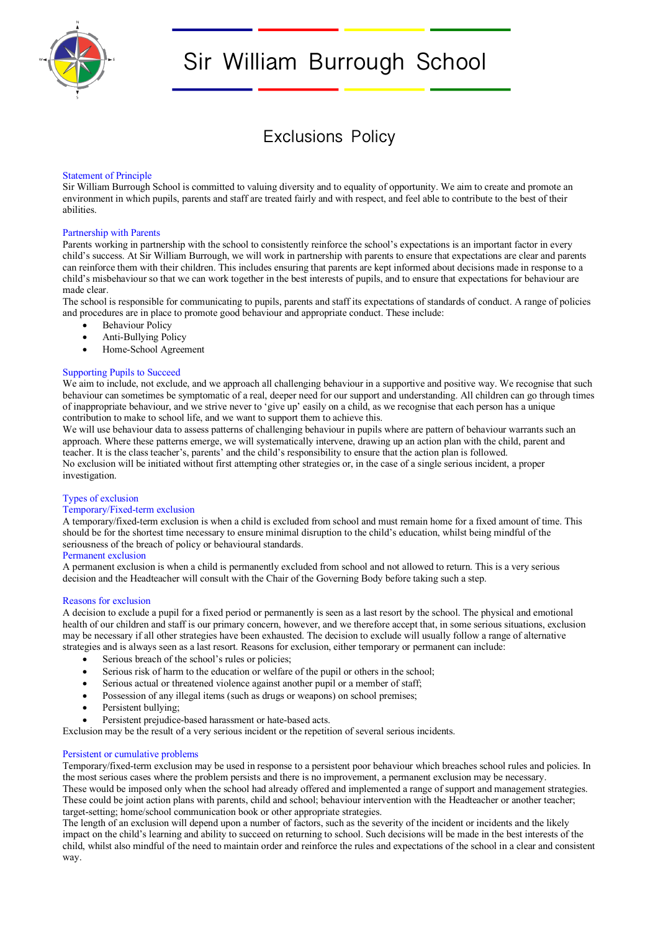

# Sir William Burrough School

# Exclusions Policy

# Statement of Principle

Sir William Burrough School is committed to valuing diversity and to equality of opportunity. We aim to create and promote an environment in which pupils, parents and staff are treated fairly and with respect, and feel able to contribute to the best of their abilities.

# Partnership with Parents

Parents working in partnership with the school to consistently reinforce the school's expectations is an important factor in every child's success. At Sir William Burrough, we will work in partnership with parents to ensure that expectations are clear and parents can reinforce them with their children. This includes ensuring that parents are kept informed about decisions made in response to a child's misbehaviour so that we can work together in the best interests of pupils, and to ensure that expectations for behaviour are made clear.

The school is responsible for communicating to pupils, parents and staff its expectations of standards of conduct. A range of policies and procedures are in place to promote good behaviour and appropriate conduct. These include:

- Behaviour Policy
- Anti-Bullying Policy
- Home-School Agreement

# Supporting Pupils to Succeed

We aim to include, not exclude, and we approach all challenging behaviour in a supportive and positive way. We recognise that such behaviour can sometimes be symptomatic of a real, deeper need for our support and understanding. All children can go through times of inappropriate behaviour, and we strive never to 'give up' easily on a child, as we recognise that each person has a unique contribution to make to school life, and we want to support them to achieve this.

We will use behaviour data to assess patterns of challenging behaviour in pupils where are pattern of behaviour warrants such an approach. Where these patterns emerge, we will systematically intervene, drawing up an action plan with the child, parent and teacher. It is the class teacher's, parents' and the child's responsibility to ensure that the action plan is followed. No exclusion will be initiated without first attempting other strategies or, in the case of a single serious incident, a proper investigation.

# Types of exclusion

# Temporary/Fixed-term exclusion

A temporary/fixed-term exclusion is when a child is excluded from school and must remain home for a fixed amount of time. This should be for the shortest time necessary to ensure minimal disruption to the child's education, whilst being mindful of the seriousness of the breach of policy or behavioural standards.

# Permanent exclusion

A permanent exclusion is when a child is permanently excluded from school and not allowed to return. This is a very serious decision and the Headteacher will consult with the Chair of the Governing Body before taking such a step.

# Reasons for exclusion

A decision to exclude a pupil for a fixed period or permanently is seen as a last resort by the school. The physical and emotional health of our children and staff is our primary concern, however, and we therefore accept that, in some serious situations, exclusion may be necessary if all other strategies have been exhausted. The decision to exclude will usually follow a range of alternative strategies and is always seen as a last resort. Reasons for exclusion, either temporary or permanent can include:

- Serious breach of the school's rules or policies;
- Serious risk of harm to the education or welfare of the pupil or others in the school;
- Serious actual or threatened violence against another pupil or a member of staff;
- Possession of any illegal items (such as drugs or weapons) on school premises;
- Persistent bullying;
- Persistent prejudice-based harassment or hate-based acts.
- Exclusion may be the result of a very serious incident or the repetition of several serious incidents.

# Persistent or cumulative problems

Temporary/fixed-term exclusion may be used in response to a persistent poor behaviour which breaches school rules and policies. In the most serious cases where the problem persists and there is no improvement, a permanent exclusion may be necessary. These would be imposed only when the school had already offered and implemented a range of support and management strategies. These could be joint action plans with parents, child and school; behaviour intervention with the Headteacher or another teacher; target-setting; home/school communication book or other appropriate strategies.

The length of an exclusion will depend upon a number of factors, such as the severity of the incident or incidents and the likely impact on the child's learning and ability to succeed on returning to school. Such decisions will be made in the best interests of the child, whilst also mindful of the need to maintain order and reinforce the rules and expectations of the school in a clear and consistent way.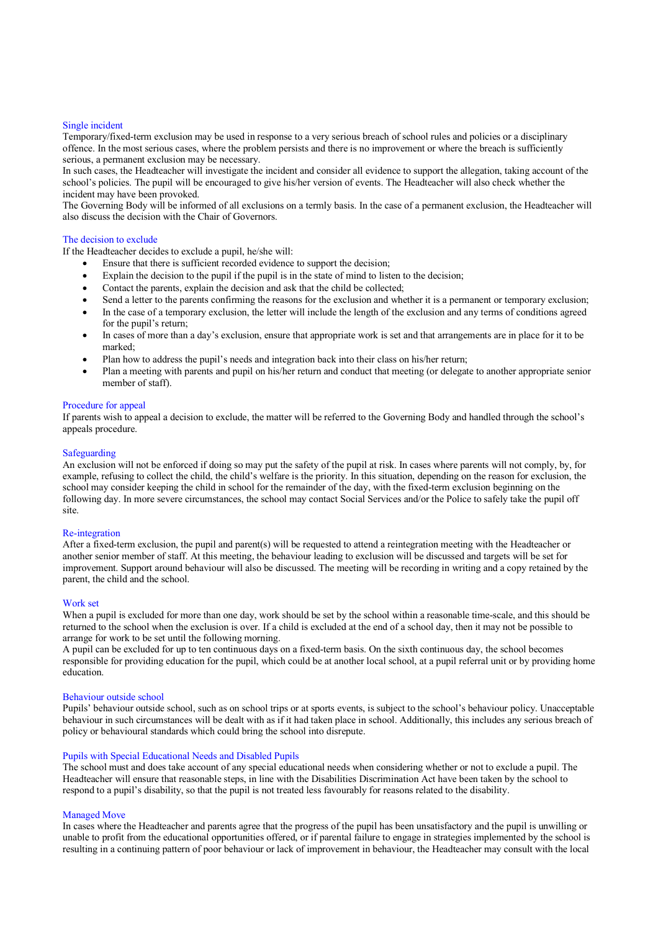#### Single incident

Temporary/fixed-term exclusion may be used in response to a very serious breach of school rules and policies or a disciplinary offence. In the most serious cases, where the problem persists and there is no improvement or where the breach is sufficiently serious, a permanent exclusion may be necessary.

In such cases, the Headteacher will investigate the incident and consider all evidence to support the allegation, taking account of the school's policies. The pupil will be encouraged to give his/her version of events. The Headteacher will also check whether the incident may have been provoked.

The Governing Body will be informed of all exclusions on a termly basis. In the case of a permanent exclusion, the Headteacher will also discuss the decision with the Chair of Governors.

#### The decision to exclude

If the Headteacher decides to exclude a pupil, he/she will:

- Ensure that there is sufficient recorded evidence to support the decision;
- Explain the decision to the pupil if the pupil is in the state of mind to listen to the decision;
- Contact the parents, explain the decision and ask that the child be collected;
- Send a letter to the parents confirming the reasons for the exclusion and whether it is a permanent or temporary exclusion;
- In the case of a temporary exclusion, the letter will include the length of the exclusion and any terms of conditions agreed for the pupil's return;
- In cases of more than a day's exclusion, ensure that appropriate work is set and that arrangements are in place for it to be marked;
- Plan how to address the pupil's needs and integration back into their class on his/her return;
- Plan a meeting with parents and pupil on his/her return and conduct that meeting (or delegate to another appropriate senior member of staff).

#### Procedure for appeal

If parents wish to appeal a decision to exclude, the matter will be referred to the Governing Body and handled through the school's appeals procedure.

#### Safeguarding

An exclusion will not be enforced if doing so may put the safety of the pupil at risk. In cases where parents will not comply, by, for example, refusing to collect the child, the child's welfare is the priority. In this situation, depending on the reason for exclusion, the school may consider keeping the child in school for the remainder of the day, with the fixed-term exclusion beginning on the following day. In more severe circumstances, the school may contact Social Services and/or the Police to safely take the pupil off site.

#### Re-integration

After a fixed-term exclusion, the pupil and parent(s) will be requested to attend a reintegration meeting with the Headteacher or another senior member of staff. At this meeting, the behaviour leading to exclusion will be discussed and targets will be set for improvement. Support around behaviour will also be discussed. The meeting will be recording in writing and a copy retained by the parent, the child and the school.

#### Work set

When a pupil is excluded for more than one day, work should be set by the school within a reasonable time-scale, and this should be returned to the school when the exclusion is over. If a child is excluded at the end of a school day, then it may not be possible to arrange for work to be set until the following morning.

A pupil can be excluded for up to ten continuous days on a fixed-term basis. On the sixth continuous day, the school becomes responsible for providing education for the pupil, which could be at another local school, at a pupil referral unit or by providing home education.

#### Behaviour outside school

Pupils' behaviour outside school, such as on school trips or at sports events, is subject to the school's behaviour policy. Unacceptable behaviour in such circumstances will be dealt with as if it had taken place in school. Additionally, this includes any serious breach of policy or behavioural standards which could bring the school into disrepute.

# Pupils with Special Educational Needs and Disabled Pupils

The school must and does take account of any special educational needs when considering whether or not to exclude a pupil. The Headteacher will ensure that reasonable steps, in line with the Disabilities Discrimination Act have been taken by the school to respond to a pupil's disability, so that the pupil is not treated less favourably for reasons related to the disability.

#### Managed Move

In cases where the Headteacher and parents agree that the progress of the pupil has been unsatisfactory and the pupil is unwilling or unable to profit from the educational opportunities offered, or if parental failure to engage in strategies implemented by the school is resulting in a continuing pattern of poor behaviour or lack of improvement in behaviour, the Headteacher may consult with the local